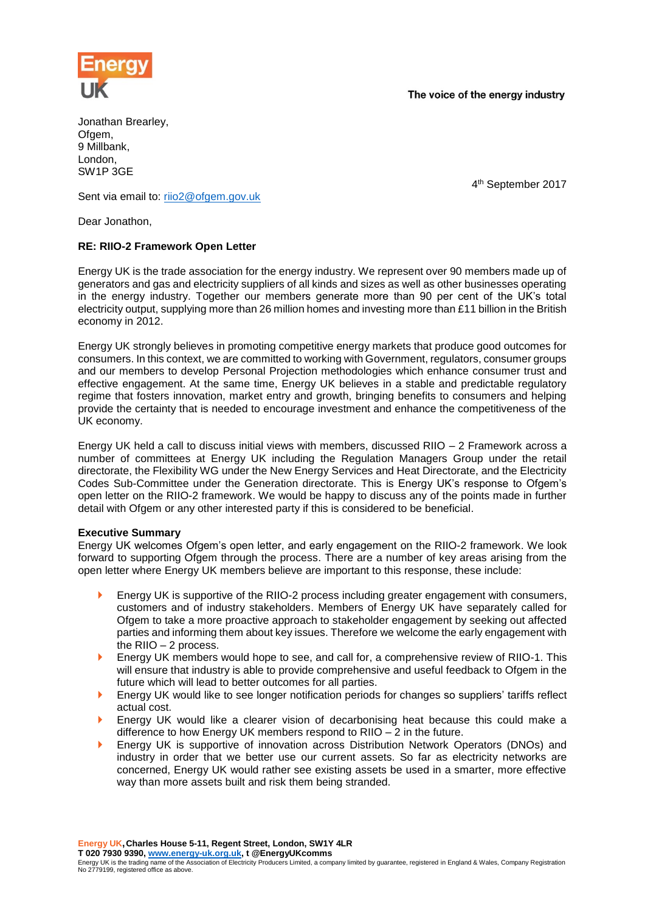

The voice of the energy industry

Jonathan Brearley, Ofgem, 9 Millbank, London, SW1P 3GE

4 th September 2017

Sent via email to: [riio2@ofgem.gov.uk](mailto:riio2@ofgem.gov.uk)

Dear Jonathon,

# **RE: RIIO-2 Framework Open Letter**

Energy UK is the trade association for the energy industry. We represent over 90 members made up of generators and gas and electricity suppliers of all kinds and sizes as well as other businesses operating in the energy industry. Together our members generate more than 90 per cent of the UK's total electricity output, supplying more than 26 million homes and investing more than £11 billion in the British economy in 2012.

Energy UK strongly believes in promoting competitive energy markets that produce good outcomes for consumers. In this context, we are committed to working with Government, regulators, consumer groups and our members to develop Personal Projection methodologies which enhance consumer trust and effective engagement. At the same time, Energy UK believes in a stable and predictable regulatory regime that fosters innovation, market entry and growth, bringing benefits to consumers and helping provide the certainty that is needed to encourage investment and enhance the competitiveness of the UK economy.

Energy UK held a call to discuss initial views with members, discussed RIIO – 2 Framework across a number of committees at Energy UK including the Regulation Managers Group under the retail directorate, the Flexibility WG under the New Energy Services and Heat Directorate, and the Electricity Codes Sub-Committee under the Generation directorate. This is Energy UK's response to Ofgem's open letter on the RIIO-2 framework. We would be happy to discuss any of the points made in further detail with Ofgem or any other interested party if this is considered to be beneficial.

# **Executive Summary**

Energy UK welcomes Ofgem's open letter, and early engagement on the RIIO-2 framework. We look forward to supporting Ofgem through the process. There are a number of key areas arising from the open letter where Energy UK members believe are important to this response, these include:

- Energy UK is supportive of the RIIO-2 process including greater engagement with consumers, customers and of industry stakeholders. Members of Energy UK have separately called for Ofgem to take a more proactive approach to stakeholder engagement by seeking out affected parties and informing them about key issues. Therefore we welcome the early engagement with the RIIO – 2 process.
- Energy UK members would hope to see, and call for, a comprehensive review of RIIO-1. This will ensure that industry is able to provide comprehensive and useful feedback to Ofgem in the future which will lead to better outcomes for all parties.
- **Energy UK would like to see longer notification periods for changes so suppliers' tariffs reflect** actual cost.
- **Energy UK would like a clearer vision of decarbonising heat because this could make a** difference to how Energy UK members respond to RIIO – 2 in the future.
- **Energy UK is supportive of innovation across Distribution Network Operators (DNOs) and** industry in order that we better use our current assets. So far as electricity networks are concerned, Energy UK would rather see existing assets be used in a smarter, more effective way than more assets built and risk them being stranded.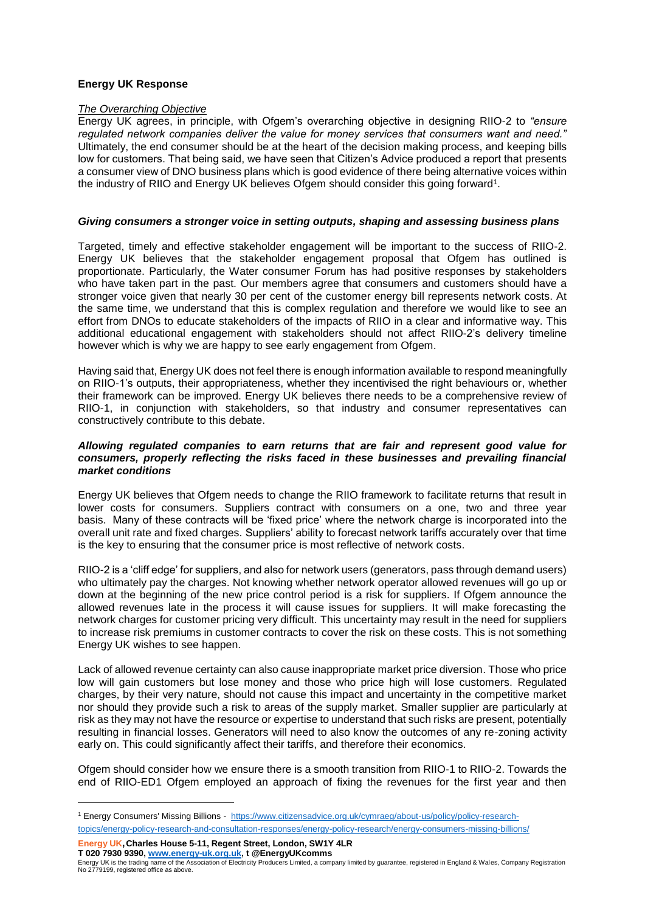# **Energy UK Response**

## *The Overarching Objective*

Energy UK agrees, in principle, with Ofgem's overarching objective in designing RIIO-2 to *"ensure regulated network companies deliver the value for money services that consumers want and need."* Ultimately, the end consumer should be at the heart of the decision making process, and keeping bills low for customers. That being said, we have seen that Citizen's Advice produced a report that presents a consumer view of DNO business plans which is good evidence of there being alternative voices within the industry of RIIO and Energy UK believes Ofgem should consider this going forward<sup>1</sup>.

#### *Giving consumers a stronger voice in setting outputs, shaping and assessing business plans*

Targeted, timely and effective stakeholder engagement will be important to the success of RIIO-2. Energy UK believes that the stakeholder engagement proposal that Ofgem has outlined is proportionate. Particularly, the Water consumer Forum has had positive responses by stakeholders who have taken part in the past. Our members agree that consumers and customers should have a stronger voice given that nearly 30 per cent of the customer energy bill represents network costs. At the same time, we understand that this is complex regulation and therefore we would like to see an effort from DNOs to educate stakeholders of the impacts of RIIO in a clear and informative way. This additional educational engagement with stakeholders should not affect RIIO-2's delivery timeline however which is why we are happy to see early engagement from Ofgem.

Having said that, Energy UK does not feel there is enough information available to respond meaningfully on RIIO-1's outputs, their appropriateness, whether they incentivised the right behaviours or, whether their framework can be improved. Energy UK believes there needs to be a comprehensive review of RIIO-1, in conjunction with stakeholders, so that industry and consumer representatives can constructively contribute to this debate.

## *Allowing regulated companies to earn returns that are fair and represent good value for consumers, properly reflecting the risks faced in these businesses and prevailing financial market conditions*

Energy UK believes that Ofgem needs to change the RIIO framework to facilitate returns that result in lower costs for consumers. Suppliers contract with consumers on a one, two and three year basis. Many of these contracts will be 'fixed price' where the network charge is incorporated into the overall unit rate and fixed charges. Suppliers' ability to forecast network tariffs accurately over that time is the key to ensuring that the consumer price is most reflective of network costs.

RIIO-2 is a 'cliff edge' for suppliers, and also for network users (generators, pass through demand users) who ultimately pay the charges. Not knowing whether network operator allowed revenues will go up or down at the beginning of the new price control period is a risk for suppliers. If Ofgem announce the allowed revenues late in the process it will cause issues for suppliers. It will make forecasting the network charges for customer pricing very difficult. This uncertainty may result in the need for suppliers to increase risk premiums in customer contracts to cover the risk on these costs. This is not something Energy UK wishes to see happen.

Lack of allowed revenue certainty can also cause inappropriate market price diversion. Those who price low will gain customers but lose money and those who price high will lose customers. Regulated charges, by their very nature, should not cause this impact and uncertainty in the competitive market nor should they provide such a risk to areas of the supply market. Smaller supplier are particularly at risk as they may not have the resource or expertise to understand that such risks are present, potentially resulting in financial losses. Generators will need to also know the outcomes of any re-zoning activity early on. This could significantly affect their tariffs, and therefore their economics.

Ofgem should consider how we ensure there is a smooth transition from RIIO-1 to RIIO-2. Towards the end of RIIO-ED1 Ofgem employed an approach of fixing the revenues for the first year and then

**Energy UK,Charles House 5-11, Regent Street, London, SW1Y 4LR T 020 7930 9390, [www.energy-uk.org.uk,](http://www.energy-uk.org.uk/) t @EnergyUKcomms**

1

<sup>1</sup> Energy Consumers' Missing Billions - [https://www.citizensadvice.org.uk/cymraeg/about-us/policy/policy-research](https://www.citizensadvice.org.uk/cymraeg/about-us/policy/policy-research-topics/energy-policy-research-and-consultation-responses/energy-policy-research/energy-consumers-missing-billions/)[topics/energy-policy-research-and-consultation-responses/energy-policy-research/energy-consumers-missing-billions/](https://www.citizensadvice.org.uk/cymraeg/about-us/policy/policy-research-topics/energy-policy-research-and-consultation-responses/energy-policy-research/energy-consumers-missing-billions/)

Energy UK is the trading name of the Association of Electricity Producers Limited, a company limited by guarantee, registered in England & Wales, Company Registration No 2779199, registered office as above.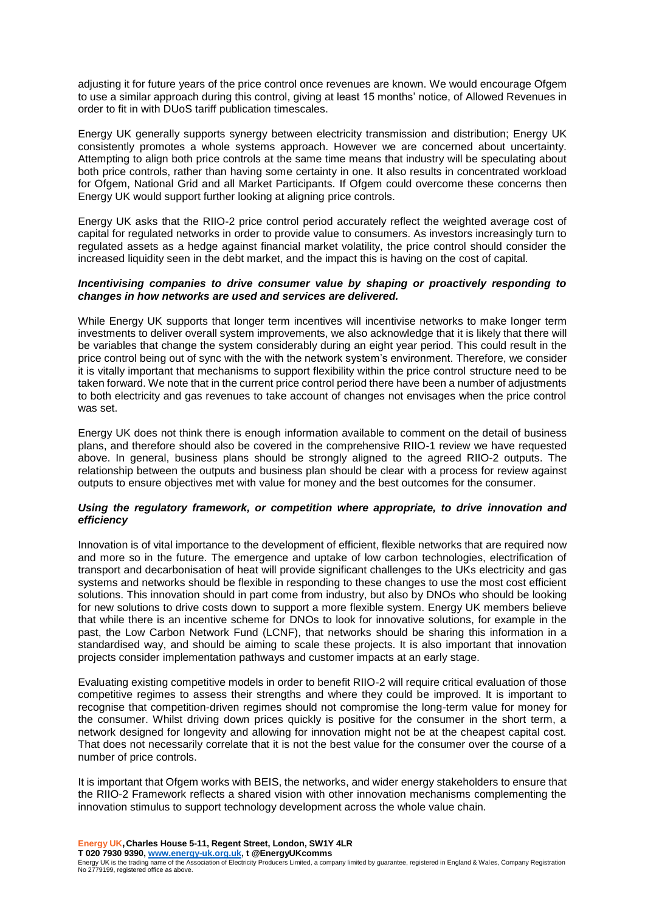adjusting it for future years of the price control once revenues are known. We would encourage Ofgem to use a similar approach during this control, giving at least 15 months' notice, of Allowed Revenues in order to fit in with DUoS tariff publication timescales.

Energy UK generally supports synergy between electricity transmission and distribution; Energy UK consistently promotes a whole systems approach. However we are concerned about uncertainty. Attempting to align both price controls at the same time means that industry will be speculating about both price controls, rather than having some certainty in one. It also results in concentrated workload for Ofgem, National Grid and all Market Participants. If Ofgem could overcome these concerns then Energy UK would support further looking at aligning price controls.

Energy UK asks that the RIIO-2 price control period accurately reflect the weighted average cost of capital for regulated networks in order to provide value to consumers. As investors increasingly turn to regulated assets as a hedge against financial market volatility, the price control should consider the increased liquidity seen in the debt market, and the impact this is having on the cost of capital.

## *Incentivising companies to drive consumer value by shaping or proactively responding to changes in how networks are used and services are delivered.*

While Energy UK supports that longer term incentives will incentivise networks to make longer term investments to deliver overall system improvements, we also acknowledge that it is likely that there will be variables that change the system considerably during an eight year period. This could result in the price control being out of sync with the with the network system's environment. Therefore, we consider it is vitally important that mechanisms to support flexibility within the price control structure need to be taken forward. We note that in the current price control period there have been a number of adjustments to both electricity and gas revenues to take account of changes not envisages when the price control was set.

Energy UK does not think there is enough information available to comment on the detail of business plans, and therefore should also be covered in the comprehensive RIIO-1 review we have requested above. In general, business plans should be strongly aligned to the agreed RIIO-2 outputs. The relationship between the outputs and business plan should be clear with a process for review against outputs to ensure objectives met with value for money and the best outcomes for the consumer.

# *Using the regulatory framework, or competition where appropriate, to drive innovation and efficiency*

Innovation is of vital importance to the development of efficient, flexible networks that are required now and more so in the future. The emergence and uptake of low carbon technologies, electrification of transport and decarbonisation of heat will provide significant challenges to the UKs electricity and gas systems and networks should be flexible in responding to these changes to use the most cost efficient solutions. This innovation should in part come from industry, but also by DNOs who should be looking for new solutions to drive costs down to support a more flexible system. Energy UK members believe that while there is an incentive scheme for DNOs to look for innovative solutions, for example in the past, the Low Carbon Network Fund (LCNF), that networks should be sharing this information in a standardised way, and should be aiming to scale these projects. It is also important that innovation projects consider implementation pathways and customer impacts at an early stage.

Evaluating existing competitive models in order to benefit RIIO-2 will require critical evaluation of those competitive regimes to assess their strengths and where they could be improved. It is important to recognise that competition-driven regimes should not compromise the long-term value for money for the consumer. Whilst driving down prices quickly is positive for the consumer in the short term, a network designed for longevity and allowing for innovation might not be at the cheapest capital cost. That does not necessarily correlate that it is not the best value for the consumer over the course of a number of price controls.

It is important that Ofgem works with BEIS, the networks, and wider energy stakeholders to ensure that the RIIO-2 Framework reflects a shared vision with other innovation mechanisms complementing the innovation stimulus to support technology development across the whole value chain.

**Energy UK,Charles House 5-11, Regent Street, London, SW1Y 4LR T 020 7930 9390, [www.energy-uk.org.uk,](http://www.energy-uk.org.uk/) t @EnergyUKcomms** Energy UK is the trading name of the Association of Electricity Producers Limited, a company limited by guarantee, registered in England & Wales, Company Registration No 2779199, registered office as above.